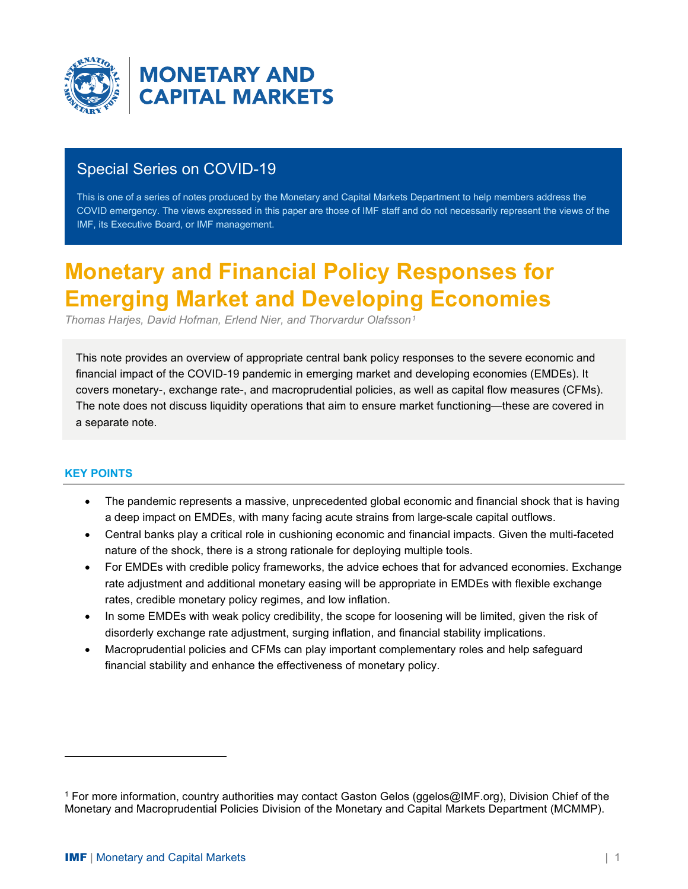

**MONETARY AND CAPITAL MARKETS** 

# Special Series on COVID-19

This is one of a series of notes produced by the Monetary and Capital Markets Department to help members address the COVID emergency. The views expressed in this paper are those of IMF staff and do not necessarily represent the views of the IMF, its Executive Board, or IMF management.

# **Monetary and Financial Policy Responses for Emerging Market and Developing Economies**

*Thomas Harjes, David Hofman, Erlend Nier, and Thorvardur Olafsson[1](#page-0-0)*

This note provides an overview of appropriate central bank policy responses to the severe economic and financial impact of the COVID-19 pandemic in emerging market and developing economies (EMDEs). It covers monetary-, exchange rate-, and macroprudential policies, as well as capital flow measures (CFMs). The note does not discuss liquidity operations that aim to ensure market functioning—these are covered in a separate note.

# **KEY POINTS**

- The pandemic represents a massive, unprecedented global economic and financial shock that is having a deep impact on EMDEs, with many facing acute strains from large-scale capital outflows.
- Central banks play a critical role in cushioning economic and financial impacts. Given the multi-faceted nature of the shock, there is a strong rationale for deploying multiple tools.
- For EMDEs with credible policy frameworks, the advice echoes that for advanced economies. Exchange rate adjustment and additional monetary easing will be appropriate in EMDEs with flexible exchange rates, credible monetary policy regimes, and low inflation.
- In some EMDEs with weak policy credibility, the scope for loosening will be limited, given the risk of disorderly exchange rate adjustment, surging inflation, and financial stability implications.
- Macroprudential policies and CFMs can play important complementary roles and help safeguard financial stability and enhance the effectiveness of monetary policy.

<span id="page-0-0"></span><sup>1</sup> For more information, country authorities may contact Gaston Gelos (ggelos@IMF.org), Division Chief of the Monetary and Macroprudential Policies Division of the Monetary and Capital Markets Department (MCMMP).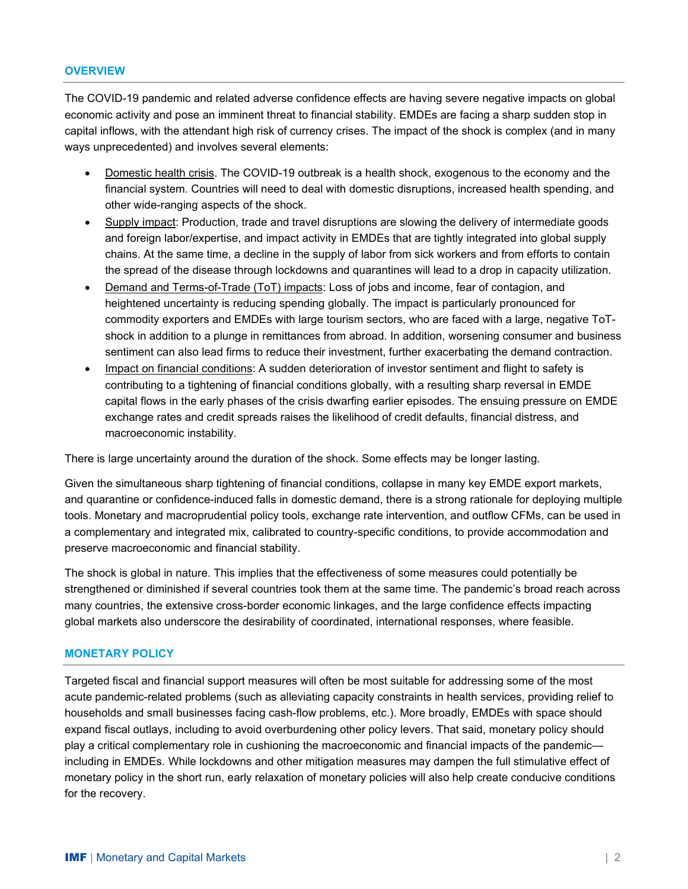#### **OVERVIEW**

The COVID-19 pandemic and related adverse confidence effects are having severe negative impacts on global economic activity and pose an imminent threat to financial stability. EMDEs are facing a sharp sudden stop in capital inflows, with the attendant high risk of currency crises. The impact of the shock is complex (and in many ways unprecedented) and involves several elements:

- Domestic health crisis. The COVID-19 outbreak is a health shock, exogenous to the economy and the financial system. Countries will need to deal with domestic disruptions, increased health spending, and other wide-ranging aspects of the shock.
- Supply impact: Production, trade and travel disruptions are slowing the delivery of intermediate goods and foreign labor/expertise, and impact activity in EMDEs that are tightly integrated into global supply chains. At the same time, a decline in the supply of labor from sick workers and from efforts to contain the spread of the disease through lockdowns and quarantines will lead to a drop in capacity utilization.
- Demand and Terms-of-Trade (ToT) impacts: Loss of jobs and income, fear of contagion, and heightened uncertainty is reducing spending globally. The impact is particularly pronounced for commodity exporters and EMDEs with large tourism sectors, who are faced with a large, negative ToTshock in addition to a plunge in remittances from abroad. In addition, worsening consumer and business sentiment can also lead firms to reduce their investment, further exacerbating the demand contraction.
- Impact on financial conditions: A sudden deterioration of investor sentiment and flight to safety is contributing to a tightening of financial conditions globally, with a resulting sharp reversal in EMDE capital flows in the early phases of the crisis dwarfing earlier episodes. The ensuing pressure on EMDE exchange rates and credit spreads raises the likelihood of credit defaults, financial distress, and macroeconomic instability.

There is large uncertainty around the duration of the shock. Some effects may be longer lasting.

Given the simultaneous sharp tightening of financial conditions, collapse in many key EMDE export markets, and quarantine or confidence-induced falls in domestic demand, there is a strong rationale for deploying multiple tools. Monetary and macroprudential policy tools, exchange rate intervention, and outflow CFMs, can be used in a complementary and integrated mix, calibrated to country-specific conditions, to provide accommodation and preserve macroeconomic and financial stability.

The shock is global in nature. This implies that the effectiveness of some measures could potentially be strengthened or diminished if several countries took them at the same time. The pandemic's broad reach across many countries, the extensive cross-border economic linkages, and the large confidence effects impacting global markets also underscore the desirability of coordinated, international responses, where feasible.

#### **MONETARY POLICY**

Targeted fiscal and financial support measures will often be most suitable for addressing some of the most acute pandemic-related problems (such as alleviating capacity constraints in health services, providing relief to households and small businesses facing cash-flow problems, etc.). More broadly, EMDEs with space should expand fiscal outlays, including to avoid overburdening other policy levers. That said, monetary policy should play a critical complementary role in cushioning the macroeconomic and financial impacts of the pandemic including in EMDEs. While lockdowns and other mitigation measures may dampen the full stimulative effect of monetary policy in the short run, early relaxation of monetary policies will also help create conducive conditions for the recovery.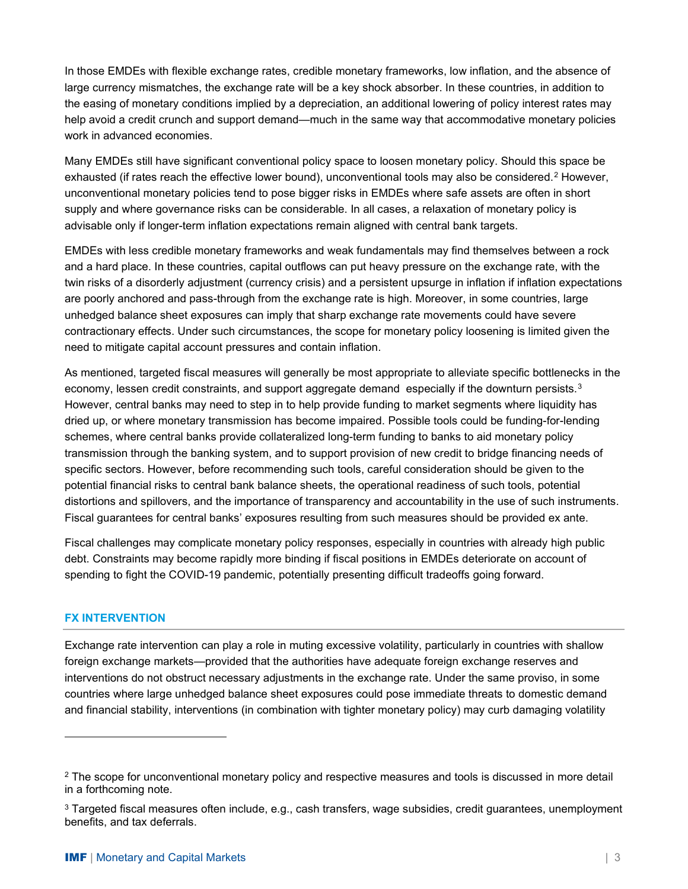In those EMDEs with flexible exchange rates, credible monetary frameworks, low inflation, and the absence of large currency mismatches, the exchange rate will be a key shock absorber. In these countries, in addition to the easing of monetary conditions implied by a depreciation, an additional lowering of policy interest rates may help avoid a credit crunch and support demand—much in the same way that accommodative monetary policies work in advanced economies.

Many EMDEs still have significant conventional policy space to loosen monetary policy. Should this space be exhausted (if rates reach the effective lower bound), unconventional tools may also be considered.<sup>[2](#page-2-0)</sup> However, unconventional monetary policies tend to pose bigger risks in EMDEs where safe assets are often in short supply and where governance risks can be considerable. In all cases, a relaxation of monetary policy is advisable only if longer-term inflation expectations remain aligned with central bank targets.

EMDEs with less credible monetary frameworks and weak fundamentals may find themselves between a rock and a hard place. In these countries, capital outflows can put heavy pressure on the exchange rate, with the twin risks of a disorderly adjustment (currency crisis) and a persistent upsurge in inflation if inflation expectations are poorly anchored and pass-through from the exchange rate is high. Moreover, in some countries, large unhedged balance sheet exposures can imply that sharp exchange rate movements could have severe contractionary effects. Under such circumstances, the scope for monetary policy loosening is limited given the need to mitigate capital account pressures and contain inflation.

As mentioned, targeted fiscal measures will generally be most appropriate to alleviate specific bottlenecks in the economy, lessen credit constraints, and support aggregate demand especially if the downturn persists.<sup>[3](#page-2-1)</sup> However, central banks may need to step in to help provide funding to market segments where liquidity has dried up, or where monetary transmission has become impaired. Possible tools could be funding-for-lending schemes, where central banks provide collateralized long-term funding to banks to aid monetary policy transmission through the banking system, and to support provision of new credit to bridge financing needs of specific sectors. However, before recommending such tools, careful consideration should be given to the potential financial risks to central bank balance sheets, the operational readiness of such tools, potential distortions and spillovers, and the importance of transparency and accountability in the use of such instruments. Fiscal guarantees for central banks' exposures resulting from such measures should be provided ex ante.

Fiscal challenges may complicate monetary policy responses, especially in countries with already high public debt. Constraints may become rapidly more binding if fiscal positions in EMDEs deteriorate on account of spending to fight the COVID-19 pandemic, potentially presenting difficult tradeoffs going forward.

# **FX INTERVENTION**

Exchange rate intervention can play a role in muting excessive volatility, particularly in countries with shallow foreign exchange markets—provided that the authorities have adequate foreign exchange reserves and interventions do not obstruct necessary adjustments in the exchange rate. Under the same proviso, in some countries where large unhedged balance sheet exposures could pose immediate threats to domestic demand and financial stability, interventions (in combination with tighter monetary policy) may curb damaging volatility

<span id="page-2-0"></span><sup>&</sup>lt;sup>2</sup> The scope for unconventional monetary policy and respective measures and tools is discussed in more detail in a forthcoming note.

<span id="page-2-1"></span><sup>&</sup>lt;sup>3</sup> Targeted fiscal measures often include, e.g., cash transfers, wage subsidies, credit guarantees, unemployment benefits, and tax deferrals.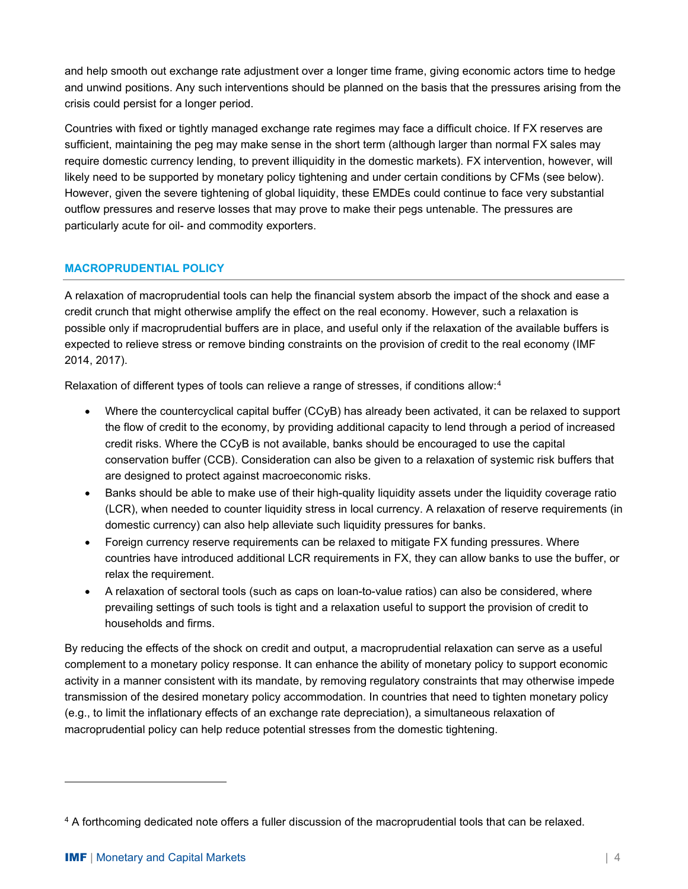and help smooth out exchange rate adjustment over a longer time frame, giving economic actors time to hedge and unwind positions. Any such interventions should be planned on the basis that the pressures arising from the crisis could persist for a longer period.

Countries with fixed or tightly managed exchange rate regimes may face a difficult choice. If FX reserves are sufficient, maintaining the peg may make sense in the short term (although larger than normal FX sales may require domestic currency lending, to prevent illiquidity in the domestic markets). FX intervention, however, will likely need to be supported by monetary policy tightening and under certain conditions by CFMs (see below). However, given the severe tightening of global liquidity, these EMDEs could continue to face very substantial outflow pressures and reserve losses that may prove to make their pegs untenable. The pressures are particularly acute for oil- and commodity exporters.

# **MACROPRUDENTIAL POLICY**

A relaxation of macroprudential tools can help the financial system absorb the impact of the shock and ease a credit crunch that might otherwise amplify the effect on the real economy. However, such a relaxation is possible only if macroprudential buffers are in place, and useful only if the relaxation of the available buffers is expected to relieve stress or remove binding constraints on the provision of credit to the real economy (IMF 2014, 2017).

Relaxation of different types of tools can relieve a range of stresses, if conditions allow:<sup>[4](#page-3-0)</sup>

- Where the countercyclical capital buffer (CCyB) has already been activated, it can be relaxed to support the flow of credit to the economy, by providing additional capacity to lend through a period of increased credit risks. Where the CCyB is not available, banks should be encouraged to use the capital conservation buffer (CCB). Consideration can also be given to a relaxation of systemic risk buffers that are designed to protect against macroeconomic risks.
- Banks should be able to make use of their high-quality liquidity assets under the liquidity coverage ratio (LCR), when needed to counter liquidity stress in local currency. A relaxation of reserve requirements (in domestic currency) can also help alleviate such liquidity pressures for banks.
- Foreign currency reserve requirements can be relaxed to mitigate FX funding pressures. Where countries have introduced additional LCR requirements in FX, they can allow banks to use the buffer, or relax the requirement.
- A relaxation of sectoral tools (such as caps on loan-to-value ratios) can also be considered, where prevailing settings of such tools is tight and a relaxation useful to support the provision of credit to households and firms.

By reducing the effects of the shock on credit and output, a macroprudential relaxation can serve as a useful complement to a monetary policy response. It can enhance the ability of monetary policy to support economic activity in a manner consistent with its mandate, by removing regulatory constraints that may otherwise impede transmission of the desired monetary policy accommodation. In countries that need to tighten monetary policy (e.g., to limit the inflationary effects of an exchange rate depreciation), a simultaneous relaxation of macroprudential policy can help reduce potential stresses from the domestic tightening.

<span id="page-3-0"></span><sup>4</sup> A forthcoming dedicated note offers a fuller discussion of the macroprudential tools that can be relaxed.